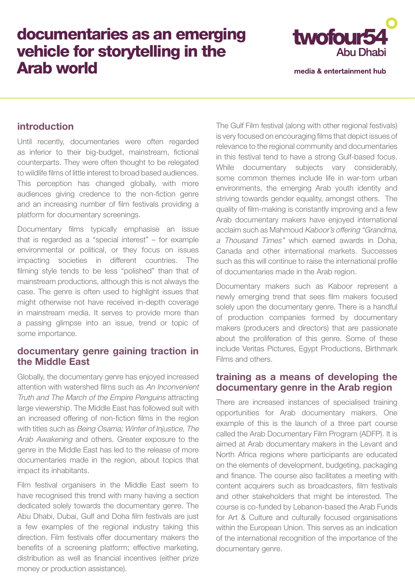# documentaries as an emerging vehicle for storytelling in the Arab world



media & entertainment hub

### **introduction**

Until recently, documentaries were often regarded as inferior to their big-budget, mainstream, fictional counterparts. They were often thought to be relegated to wildlife films of little interest to broad based audiences. This perception has changed globally, with more audiences giving credence to the non-fiction genre and an increasing number of film festivals providing a platform for documentary screenings.

Documentary films typically emphasise an issue that is regarded as a "special interest" – for example environmental or political, or they focus on issues impacting societies in different countries. The filming style tends to be less "polished" than that of mainstream productions, although this is not always the case. The genre is often used to highlight issues that might otherwise not have received in-depth coverage in mainstream media. It serves to provide more than a passing glimpse into an issue, trend or topic of some importance.

## **documentary genre gaining traction in the Middle East**

Globally, the documentary genre has enjoyed increased attention with watershed films such as An Inconvenient Truth and The March of the Empire Penguins attracting large viewership. The Middle East has followed suit with an increased offering of non-fiction films in the region with titles such as Being Osama; Winter of Injustice, The Arab Awakening and others. Greater exposure to the genre in the Middle East has led to the release of more documentaries made in the region, about topics that impact its inhabitants.

Film festival organisers in the Middle East seem to have recognised this trend with many having a section dedicated solely towards the documentary genre. The Abu Dhabi, Dubai, Gulf and Doha film festivals are just a few examples of the regional industry taking this direction. Film festivals offer documentary makers the benefits of a screening platform; effective marketing, distribution as well as financial incentives (either prize money or production assistance).

The Gulf Film festival (along with other regional festivals) is very focused on encouraging films that depict issues of relevance to the regional community and documentaries in this festival tend to have a strong Gulf-based focus. While documentary subjects vary considerably, some common themes include life in war-torn urban environments, the emerging Arab youth identity and striving towards gender equality, amongst others. The quality of film-making is constantly improving and a few Arab documentary makers have enjoyed international acclaim such as Mahmoud Kaboor's offering "Grandma, a Thousand Times" which earned awards in Doha, Canada and other international markets. Successes such as this will continue to raise the international profile of documentaries made in the Arab region.

Documentary makers such as Kaboor represent a newly emerging trend that sees film makers focused solely upon the documentary genre. There is a handful of production companies formed by documentary makers (producers and directors) that are passionate about the proliferation of this genre. Some of these include Veritas Pictures, Egypt Productions, Birthmark Films and others.

#### **training as a means of developing the documentary genre in the Arab region**

There are increased instances of specialised training opportunities for Arab documentary makers. One example of this is the launch of a three part course called the Arab Documentary Film Program (ADFP). It is aimed at Arab documentary makers in the Levant and North Africa regions where participants are educated on the elements of development, budgeting, packaging and finance. The course also facilitates a meeting with content acquirers such as broadcasters, film festivals and other stakeholders that might be interested. The course is co-funded by Lebanon-based the Arab Funds for Art & Culture and culturally focused organisations within the European Union. This serves as an indication of the international recognition of the importance of the documentary genre.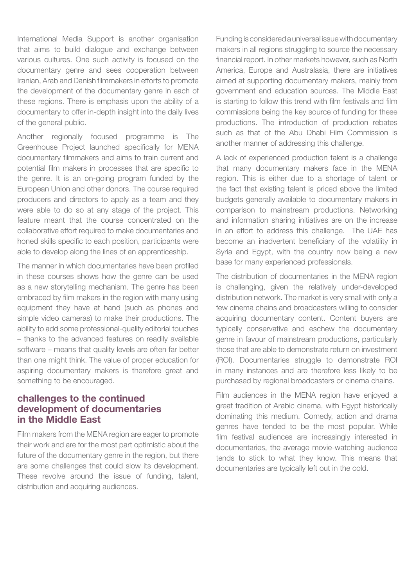International Media Support is another organisation that aims to build dialogue and exchange between various cultures. One such activity is focused on the documentary genre and sees cooperation between Iranian, Arab and Danish filmmakers in efforts to promote the development of the documentary genre in each of these regions. There is emphasis upon the ability of a documentary to offer in-depth insight into the daily lives of the general public.

Another regionally focused programme is The Greenhouse Project launched specifically for MENA documentary filmmakers and aims to train current and potential film makers in processes that are specific to the genre. It is an on-going program funded by the European Union and other donors. The course required producers and directors to apply as a team and they were able to do so at any stage of the project. This feature meant that the course concentrated on the collaborative effort required to make documentaries and honed skills specific to each position, participants were able to develop along the lines of an apprenticeship.

The manner in which documentaries have been profiled in these courses shows how the genre can be used as a new storytelling mechanism. The genre has been embraced by film makers in the region with many using equipment they have at hand (such as phones and simple video cameras) to make their productions. The ability to add some professional-quality editorial touches – thanks to the advanced features on readily available software – means that quality levels are often far better than one might think. The value of proper education for aspiring documentary makers is therefore great and something to be encouraged.

#### **challenges to the continued development of documentaries in the Middle East**

Film makers from the MENA region are eager to promote their work and are for the most part optimistic about the future of the documentary genre in the region, but there are some challenges that could slow its development. These revolve around the issue of funding, talent, distribution and acquiring audiences.

Funding is considered a universal issue with documentary makers in all regions struggling to source the necessary financial report. In other markets however, such as North America, Europe and Australasia, there are initiatives aimed at supporting documentary makers, mainly from government and education sources. The Middle East is starting to follow this trend with film festivals and film commissions being the key source of funding for these productions. The introduction of production rebates such as that of the Abu Dhabi Film Commission is another manner of addressing this challenge.

A lack of experienced production talent is a challenge that many documentary makers face in the MENA region. This is either due to a shortage of talent or the fact that existing talent is priced above the limited budgets generally available to documentary makers in comparison to mainstream productions. Networking and information sharing initiatives are on the increase in an effort to address this challenge. The UAE has become an inadvertent beneficiary of the volatility in Syria and Egypt, with the country now being a new base for many experienced professionals.

The distribution of documentaries in the MENA region is challenging, given the relatively under-developed distribution network. The market is very small with only a few cinema chains and broadcasters willing to consider acquiring documentary content. Content buyers are typically conservative and eschew the documentary genre in favour of mainstream productions, particularly those that are able to demonstrate return on investment (ROI). Documentaries struggle to demonstrate ROI in many instances and are therefore less likely to be purchased by regional broadcasters or cinema chains.

Film audiences in the MENA region have enjoyed a great tradition of Arabic cinema, with Egypt historically dominating this medium. Comedy, action and drama genres have tended to be the most popular. While film festival audiences are increasingly interested in documentaries, the average movie-watching audience tends to stick to what they know. This means that documentaries are typically left out in the cold.